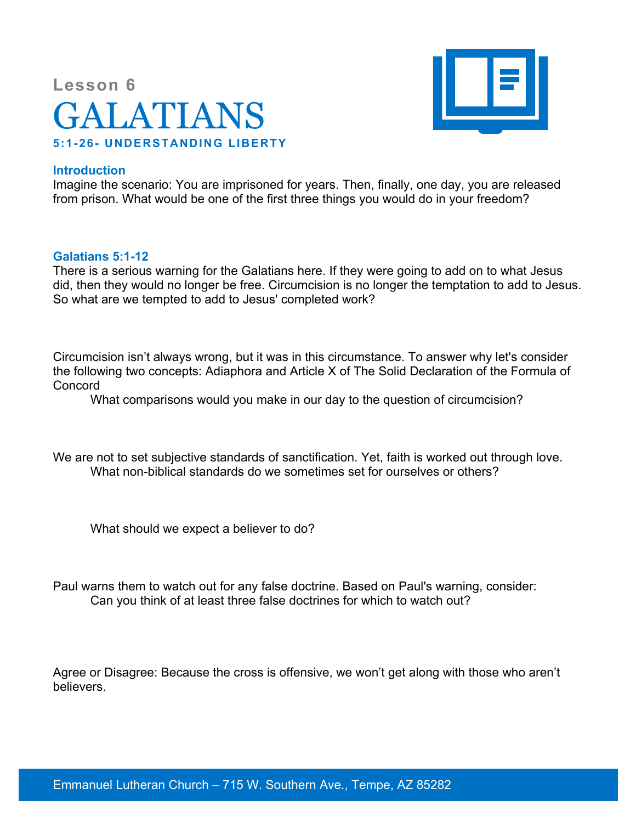# **Lesson 6** GALATIANS **5:1-26- UNDERSTANDING LIBERTY**



### **Introduction**

Imagine the scenario: You are imprisoned for years. Then, finally, one day, you are released from prison. What would be one of the first three things you would do in your freedom?

#### **Galatians 5:1-12**

There is a serious warning for the Galatians here. If they were going to add on to what Jesus did, then they would no longer be free. Circumcision is no longer the temptation to add to Jesus. So what are we tempted to add to Jesus' completed work?

Circumcision isn't always wrong, but it was in this circumstance. To answer why let's consider the following two concepts: Adiaphora and Article X of The Solid Declaration of the Formula of Concord

What comparisons would you make in our day to the question of circumcision?

We are not to set subjective standards of sanctification. Yet, faith is worked out through love. What non-biblical standards do we sometimes set for ourselves or others?

What should we expect a believer to do?

Paul warns them to watch out for any false doctrine. Based on Paul's warning, consider: Can you think of at least three false doctrines for which to watch out?

Agree or Disagree: Because the cross is offensive, we won't get along with those who aren't believers.